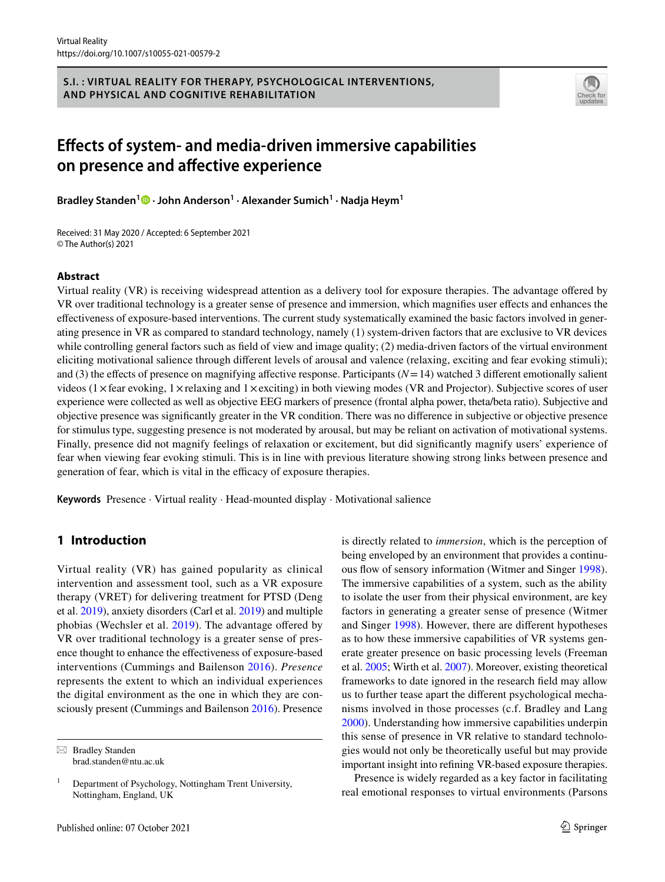#### **S.I. : VIRTUAL REALITY FOR THERAPY, PSYCHOLOGICAL INTERVENTIONS, AND PHYSICAL AND COGNITIVE REHABILITATION**



# **Efects of system‑ and media‑driven immersive capabilities on presence and afective experience**

**Bradley Standen<sup>1</sup>  [·](http://orcid.org/0000-0002-6615-063X) John Anderson1 · Alexander Sumich1 · Nadja Heym1**

Received: 31 May 2020 / Accepted: 6 September 2021 © The Author(s) 2021

## **Abstract**

Virtual reality (VR) is receiving widespread attention as a delivery tool for exposure therapies. The advantage ofered by VR over traditional technology is a greater sense of presence and immersion, which magnifes user efects and enhances the efectiveness of exposure-based interventions. The current study systematically examined the basic factors involved in generating presence in VR as compared to standard technology, namely (1) system-driven factors that are exclusive to VR devices while controlling general factors such as field of view and image quality; (2) media-driven factors of the virtual environment eliciting motivational salience through diferent levels of arousal and valence (relaxing, exciting and fear evoking stimuli); and (3) the effects of presence on magnifying affective response. Participants  $(N=14)$  watched 3 different emotionally salient videos ( $1 \times$  fear evoking,  $1 \times$ relaxing and  $1 \times$ exciting) in both viewing modes (VR and Projector). Subjective scores of user experience were collected as well as objective EEG markers of presence (frontal alpha power, theta/beta ratio). Subjective and objective presence was signifcantly greater in the VR condition. There was no diference in subjective or objective presence for stimulus type, suggesting presence is not moderated by arousal, but may be reliant on activation of motivational systems. Finally, presence did not magnify feelings of relaxation or excitement, but did signifcantly magnify users' experience of fear when viewing fear evoking stimuli. This is in line with previous literature showing strong links between presence and generation of fear, which is vital in the efficacy of exposure therapies.

**Keywords** Presence · Virtual reality · Head-mounted display · Motivational salience

## **1 Introduction**

Virtual reality (VR) has gained popularity as clinical intervention and assessment tool, such as a VR exposure therapy (VRET) for delivering treatment for PTSD (Deng et al. [2019](#page-12-0)), anxiety disorders (Carl et al. [2019\)](#page-12-1) and multiple phobias (Wechsler et al. [2019\)](#page-13-0). The advantage offered by VR over traditional technology is a greater sense of presence thought to enhance the efectiveness of exposure-based interventions (Cummings and Bailenson [2016\)](#page-12-2). *Presence* represents the extent to which an individual experiences the digital environment as the one in which they are consciously present (Cummings and Bailenson [2016](#page-12-2)). Presence

 $\boxtimes$  Bradley Standen brad.standen@ntu.ac.uk is directly related to *immersion*, which is the perception of being enveloped by an environment that provides a continu-ous flow of sensory information (Witmer and Singer [1998](#page-13-1)). The immersive capabilities of a system, such as the ability to isolate the user from their physical environment, are key factors in generating a greater sense of presence (Witmer and Singer [1998](#page-13-1)). However, there are diferent hypotheses as to how these immersive capabilities of VR systems generate greater presence on basic processing levels (Freeman et al. [2005](#page-12-3); Wirth et al. [2007](#page-13-2)). Moreover, existing theoretical frameworks to date ignored in the research feld may allow us to further tease apart the diferent psychological mechanisms involved in those processes (c.f. Bradley and Lang [2000](#page-12-4)). Understanding how immersive capabilities underpin this sense of presence in VR relative to standard technologies would not only be theoretically useful but may provide important insight into refning VR-based exposure therapies.

Presence is widely regarded as a key factor in facilitating real emotional responses to virtual environments (Parsons

 $1$  Department of Psychology, Nottingham Trent University, Nottingham, England, UK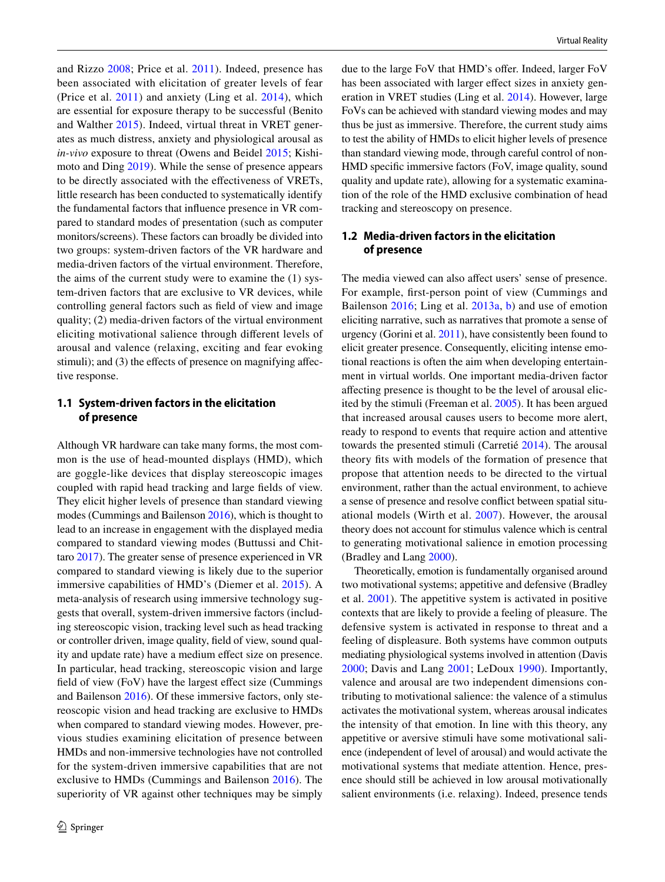and Rizzo [2008](#page-13-3); Price et al. [2011\)](#page-13-4). Indeed, presence has been associated with elicitation of greater levels of fear (Price et al. [2011](#page-13-4)) and anxiety (Ling et al. [2014\)](#page-12-5), which are essential for exposure therapy to be successful (Benito and Walther [2015](#page-12-6)). Indeed, virtual threat in VRET generates as much distress, anxiety and physiological arousal as *in-vivo* exposure to threat (Owens and Beidel [2015](#page-13-5); Kishimoto and Ding [2019](#page-12-7)). While the sense of presence appears to be directly associated with the efectiveness of VRETs, little research has been conducted to systematically identify the fundamental factors that infuence presence in VR compared to standard modes of presentation (such as computer monitors/screens). These factors can broadly be divided into two groups: system-driven factors of the VR hardware and media-driven factors of the virtual environment. Therefore, the aims of the current study were to examine the (1) system-driven factors that are exclusive to VR devices, while controlling general factors such as feld of view and image quality; (2) media-driven factors of the virtual environment eliciting motivational salience through diferent levels of arousal and valence (relaxing, exciting and fear evoking stimuli); and (3) the effects of presence on magnifying affective response.

## **1.1 System‑driven factors in the elicitation of presence**

Although VR hardware can take many forms, the most common is the use of head-mounted displays (HMD), which are goggle-like devices that display stereoscopic images coupled with rapid head tracking and large felds of view. They elicit higher levels of presence than standard viewing modes (Cummings and Bailenson [2016](#page-12-2)), which is thought to lead to an increase in engagement with the displayed media compared to standard viewing modes (Buttussi and Chittaro [2017\)](#page-12-8). The greater sense of presence experienced in VR compared to standard viewing is likely due to the superior immersive capabilities of HMD's (Diemer et al. [2015](#page-12-9)). A meta-analysis of research using immersive technology suggests that overall, system-driven immersive factors (including stereoscopic vision, tracking level such as head tracking or controller driven, image quality, feld of view, sound quality and update rate) have a medium efect size on presence. In particular, head tracking, stereoscopic vision and large field of view (FoV) have the largest effect size (Cummings) and Bailenson [2016](#page-12-2)). Of these immersive factors, only stereoscopic vision and head tracking are exclusive to HMDs when compared to standard viewing modes. However, previous studies examining elicitation of presence between HMDs and non-immersive technologies have not controlled for the system-driven immersive capabilities that are not exclusive to HMDs (Cummings and Bailenson [2016\)](#page-12-2). The superiority of VR against other techniques may be simply due to the large FoV that HMD's offer. Indeed, larger FoV has been associated with larger effect sizes in anxiety generation in VRET studies (Ling et al. [2014\)](#page-12-5). However, large FoVs can be achieved with standard viewing modes and may thus be just as immersive. Therefore, the current study aims to test the ability of HMDs to elicit higher levels of presence than standard viewing mode, through careful control of non-HMD specifc immersive factors (FoV, image quality, sound quality and update rate), allowing for a systematic examination of the role of the HMD exclusive combination of head tracking and stereoscopy on presence.

## **1.2 Media‑driven factors in the elicitation of presence**

The media viewed can also affect users' sense of presence. For example, frst-person point of view (Cummings and Bailenson [2016;](#page-12-2) Ling et al. [2013a,](#page-12-10) [b](#page-12-11)) and use of emotion eliciting narrative, such as narratives that promote a sense of urgency (Gorini et al. [2011\)](#page-12-12), have consistently been found to elicit greater presence. Consequently, eliciting intense emotional reactions is often the aim when developing entertainment in virtual worlds. One important media-driven factor afecting presence is thought to be the level of arousal elicited by the stimuli (Freeman et al. [2005](#page-12-3)). It has been argued that increased arousal causes users to become more alert, ready to respond to events that require action and attentive towards the presented stimuli (Carretié [2014\)](#page-12-13). The arousal theory fts with models of the formation of presence that propose that attention needs to be directed to the virtual environment, rather than the actual environment, to achieve a sense of presence and resolve confict between spatial situational models (Wirth et al. [2007\)](#page-13-2). However, the arousal theory does not account for stimulus valence which is central to generating motivational salience in emotion processing (Bradley and Lang [2000](#page-12-4)).

Theoretically, emotion is fundamentally organised around two motivational systems; appetitive and defensive (Bradley et al. [2001\)](#page-12-14). The appetitive system is activated in positive contexts that are likely to provide a feeling of pleasure. The defensive system is activated in response to threat and a feeling of displeasure. Both systems have common outputs mediating physiological systems involved in attention (Davis [2000;](#page-12-15) Davis and Lang [2001;](#page-12-16) LeDoux [1990](#page-12-17)). Importantly, valence and arousal are two independent dimensions contributing to motivational salience: the valence of a stimulus activates the motivational system, whereas arousal indicates the intensity of that emotion. In line with this theory, any appetitive or aversive stimuli have some motivational salience (independent of level of arousal) and would activate the motivational systems that mediate attention. Hence, presence should still be achieved in low arousal motivationally salient environments (i.e. relaxing). Indeed, presence tends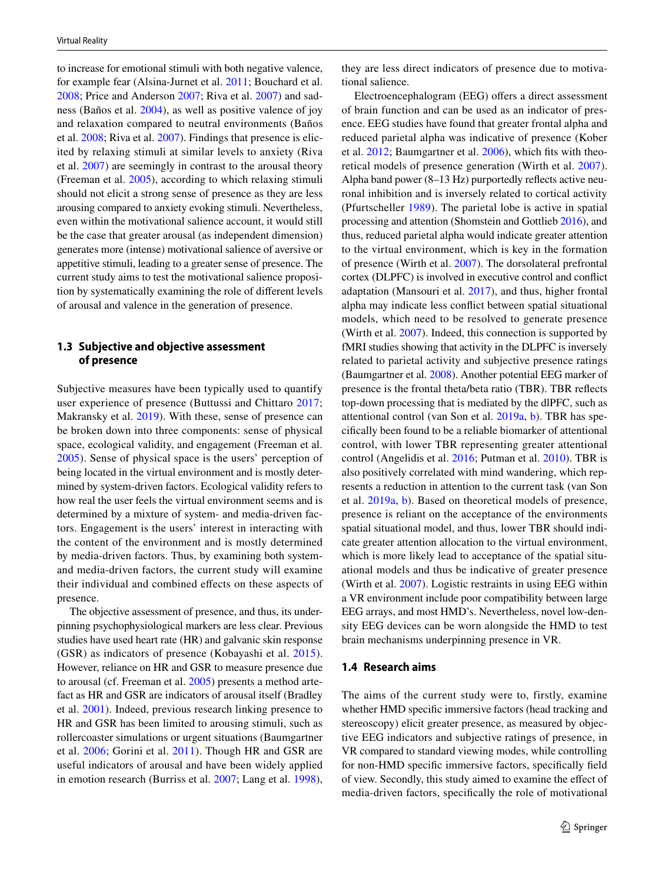to increase for emotional stimuli with both negative valence, for example fear (Alsina-Jurnet et al. [2011](#page-11-0); Bouchard et al. [2008](#page-12-18); Price and Anderson [2007;](#page-13-6) Riva et al. [2007](#page-13-7)) and sadness (Baños et al. [2004\)](#page-12-19), as well as positive valence of joy and relaxation compared to neutral environments (Baños et al. [2008;](#page-12-20) Riva et al. [2007](#page-13-7)). Findings that presence is elicited by relaxing stimuli at similar levels to anxiety (Riva et al. [2007](#page-13-7)) are seemingly in contrast to the arousal theory (Freeman et al. [2005\)](#page-12-3), according to which relaxing stimuli should not elicit a strong sense of presence as they are less arousing compared to anxiety evoking stimuli. Nevertheless, even within the motivational salience account, it would still be the case that greater arousal (as independent dimension) generates more (intense) motivational salience of aversive or appetitive stimuli, leading to a greater sense of presence. The current study aims to test the motivational salience proposition by systematically examining the role of diferent levels of arousal and valence in the generation of presence.

## **1.3 Subjective and objective assessment of presence**

Subjective measures have been typically used to quantify user experience of presence (Buttussi and Chittaro [2017](#page-12-8); Makransky et al. [2019\)](#page-12-21). With these, sense of presence can be broken down into three components: sense of physical space, ecological validity, and engagement (Freeman et al. [2005\)](#page-12-3). Sense of physical space is the users' perception of being located in the virtual environment and is mostly determined by system-driven factors. Ecological validity refers to how real the user feels the virtual environment seems and is determined by a mixture of system- and media-driven factors. Engagement is the users' interest in interacting with the content of the environment and is mostly determined by media-driven factors. Thus, by examining both systemand media-driven factors, the current study will examine their individual and combined efects on these aspects of presence.

The objective assessment of presence, and thus, its underpinning psychophysiological markers are less clear. Previous studies have used heart rate (HR) and galvanic skin response (GSR) as indicators of presence (Kobayashi et al. [2015](#page-12-22)). However, reliance on HR and GSR to measure presence due to arousal (cf. Freeman et al. [2005](#page-12-3)) presents a method artefact as HR and GSR are indicators of arousal itself (Bradley et al. [2001](#page-12-14)). Indeed, previous research linking presence to HR and GSR has been limited to arousing stimuli, such as rollercoaster simulations or urgent situations (Baumgartner et al. [2006](#page-12-23); Gorini et al. [2011](#page-12-12)). Though HR and GSR are useful indicators of arousal and have been widely applied in emotion research (Burriss et al. [2007;](#page-12-24) Lang et al. [1998](#page-12-25)),

they are less direct indicators of presence due to motivational salience.

Electroencephalogram (EEG) offers a direct assessment of brain function and can be used as an indicator of presence. EEG studies have found that greater frontal alpha and reduced parietal alpha was indicative of presence (Kober et al. [2012;](#page-12-26) Baumgartner et al. [2006](#page-12-23)), which fts with theoretical models of presence generation (Wirth et al. [2007](#page-13-2)). Alpha band power (8–13 Hz) purportedly refects active neuronal inhibition and is inversely related to cortical activity (Pfurtscheller [1989](#page-13-8)). The parietal lobe is active in spatial processing and attention (Shomstein and Gottlieb [2016\)](#page-13-9), and thus, reduced parietal alpha would indicate greater attention to the virtual environment, which is key in the formation of presence (Wirth et al. [2007](#page-13-2)). The dorsolateral prefrontal cortex (DLPFC) is involved in executive control and confict adaptation (Mansouri et al. [2017\)](#page-13-10), and thus, higher frontal alpha may indicate less confict between spatial situational models, which need to be resolved to generate presence (Wirth et al. [2007\)](#page-13-2). Indeed, this connection is supported by fMRI studies showing that activity in the DLPFC is inversely related to parietal activity and subjective presence ratings (Baumgartner et al. [2008\)](#page-12-27). Another potential EEG marker of presence is the frontal theta/beta ratio (TBR). TBR refects top-down processing that is mediated by the dlPFC, such as attentional control (van Son et al. [2019a,](#page-13-11) [b](#page-13-12)). TBR has specifcally been found to be a reliable biomarker of attentional control, with lower TBR representing greater attentional control (Angelidis et al. [2016](#page-11-1); Putman et al. [2010\)](#page-13-13). TBR is also positively correlated with mind wandering, which represents a reduction in attention to the current task (van Son et al. [2019a](#page-13-11)[, b](#page-13-12)). Based on theoretical models of presence, presence is reliant on the acceptance of the environments spatial situational model, and thus, lower TBR should indicate greater attention allocation to the virtual environment, which is more likely lead to acceptance of the spatial situational models and thus be indicative of greater presence (Wirth et al. [2007](#page-13-2)). Logistic restraints in using EEG within a VR environment include poor compatibility between large EEG arrays, and most HMD's. Nevertheless, novel low-density EEG devices can be worn alongside the HMD to test brain mechanisms underpinning presence in VR.

#### **1.4 Research aims**

The aims of the current study were to, firstly, examine whether HMD specifc immersive factors (head tracking and stereoscopy) elicit greater presence, as measured by objective EEG indicators and subjective ratings of presence, in VR compared to standard viewing modes, while controlling for non-HMD specifc immersive factors, specifcally feld of view. Secondly, this study aimed to examine the efect of media-driven factors, specifcally the role of motivational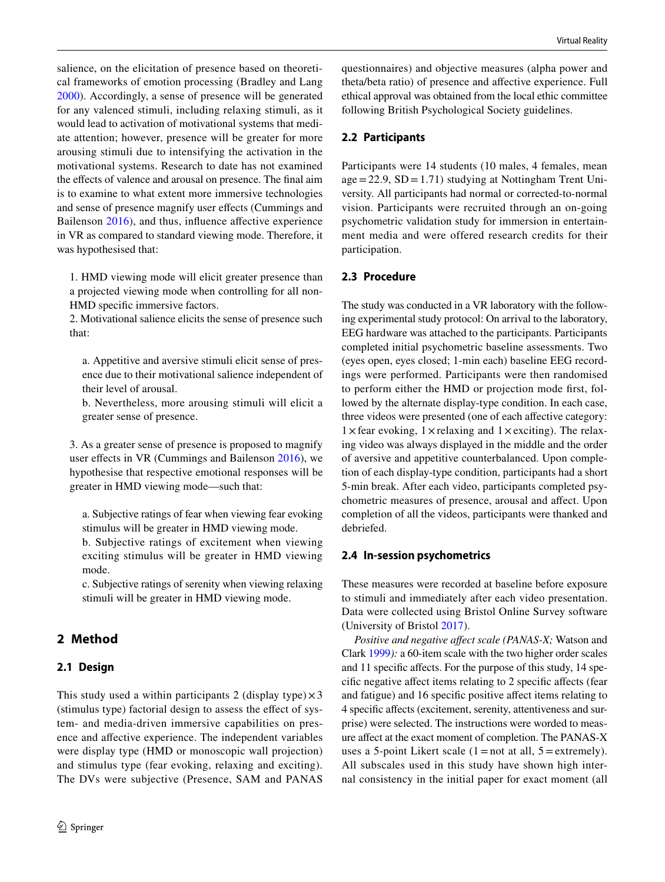salience, on the elicitation of presence based on theoretical frameworks of emotion processing (Bradley and Lang [2000](#page-12-4)). Accordingly, a sense of presence will be generated for any valenced stimuli, including relaxing stimuli, as it would lead to activation of motivational systems that mediate attention; however, presence will be greater for more arousing stimuli due to intensifying the activation in the motivational systems. Research to date has not examined the efects of valence and arousal on presence. The fnal aim is to examine to what extent more immersive technologies and sense of presence magnify user efects (Cummings and Bailenson [2016\)](#page-12-2), and thus, influence affective experience in VR as compared to standard viewing mode. Therefore, it was hypothesised that:

1. HMD viewing mode will elicit greater presence than a projected viewing mode when controlling for all non-HMD specifc immersive factors.

2. Motivational salience elicits the sense of presence such that:

a. Appetitive and aversive stimuli elicit sense of presence due to their motivational salience independent of their level of arousal.

b. Nevertheless, more arousing stimuli will elicit a greater sense of presence.

3. As a greater sense of presence is proposed to magnify user effects in VR (Cummings and Bailenson  $2016$ ), we hypothesise that respective emotional responses will be greater in HMD viewing mode—such that:

a. Subjective ratings of fear when viewing fear evoking stimulus will be greater in HMD viewing mode.

b. Subjective ratings of excitement when viewing exciting stimulus will be greater in HMD viewing mode.

c. Subjective ratings of serenity when viewing relaxing stimuli will be greater in HMD viewing mode.

# **2 Method**

## **2.1 Design**

This study used a within participants 2 (display type) $\times$ 3 (stimulus type) factorial design to assess the efect of system- and media-driven immersive capabilities on presence and afective experience. The independent variables were display type (HMD or monoscopic wall projection) and stimulus type (fear evoking, relaxing and exciting). The DVs were subjective (Presence, SAM and PANAS questionnaires) and objective measures (alpha power and theta/beta ratio) of presence and afective experience. Full ethical approval was obtained from the local ethic committee following British Psychological Society guidelines.

## **2.2 Participants**

Participants were 14 students (10 males, 4 females, mean  $age = 22.9$ ,  $SD = 1.71$ ) studying at Nottingham Trent University. All participants had normal or corrected-to-normal vision. Participants were recruited through an on-going psychometric validation study for immersion in entertainment media and were offered research credits for their participation.

## **2.3 Procedure**

The study was conducted in a VR laboratory with the following experimental study protocol: On arrival to the laboratory, EEG hardware was attached to the participants. Participants completed initial psychometric baseline assessments. Two (eyes open, eyes closed; 1-min each) baseline EEG recordings were performed. Participants were then randomised to perform either the HMD or projection mode frst, followed by the alternate display-type condition. In each case, three videos were presented (one of each affective category:  $1 \times$  fear evoking,  $1 \times$  relaxing and  $1 \times$  exciting). The relaxing video was always displayed in the middle and the order of aversive and appetitive counterbalanced. Upon completion of each display-type condition, participants had a short 5-min break. After each video, participants completed psychometric measures of presence, arousal and afect. Upon completion of all the videos, participants were thanked and debriefed.

## **2.4 In‑session psychometrics**

These measures were recorded at baseline before exposure to stimuli and immediately after each video presentation. Data were collected using Bristol Online Survey software (University of Bristol [2017](#page-12-28)).

*Positive and negative afect scale (PANAS-X;* Watson and Clark [1999](#page-13-14)*):* a 60-item scale with the two higher order scales and 11 specifc afects. For the purpose of this study, 14 specifc negative afect items relating to 2 specifc afects (fear and fatigue) and 16 specifc positive afect items relating to 4 specifc afects (excitement, serenity, attentiveness and surprise) were selected. The instructions were worded to measure afect at the exact moment of completion. The PANAS-X uses a 5-point Likert scale  $(1 = not at all, 5 = extremely)$ . All subscales used in this study have shown high internal consistency in the initial paper for exact moment (all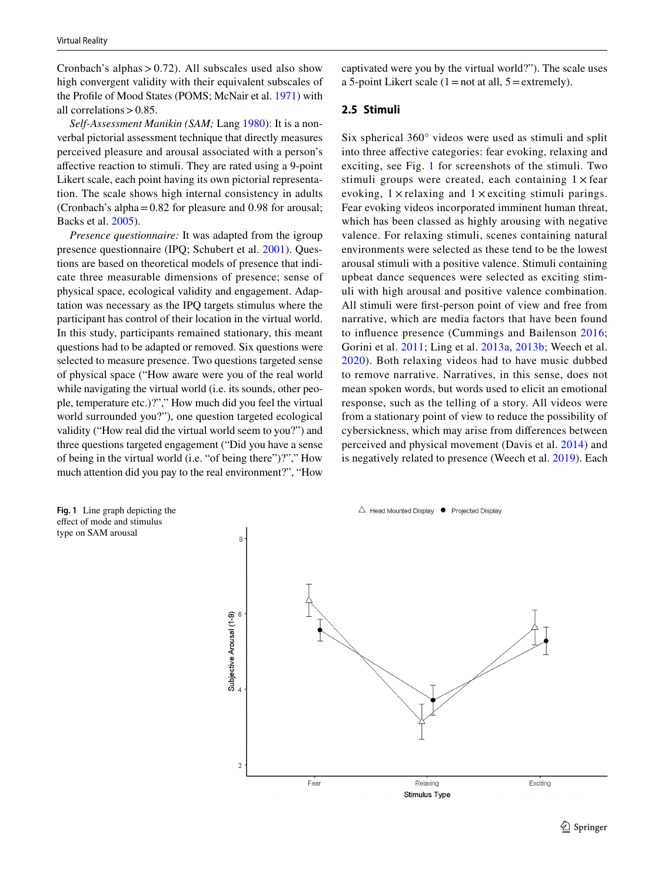Cronbach's alphas  $> 0.72$ ). All subscales used also show high convergent validity with their equivalent subscales of the Profle of Mood States (POMS; McNair et al. [1971\)](#page-13-15) with all correlations  $> 0.85$ .

*Self-Assessment Manikin (SAM;* Lang [1980\)](#page-12-29): It is a nonverbal pictorial assessment technique that directly measures perceived pleasure and arousal associated with a person's afective reaction to stimuli. They are rated using a 9-point Likert scale, each point having its own pictorial representation. The scale shows high internal consistency in adults (Cronbach's alpha=0.82 for pleasure and 0.98 for arousal; Backs et al. [2005](#page-12-30)).

*Presence questionnaire:* It was adapted from the igroup presence questionnaire (IPQ; Schubert et al. [2001\)](#page-13-16). Questions are based on theoretical models of presence that indicate three measurable dimensions of presence; sense of physical space, ecological validity and engagement. Adaptation was necessary as the IPQ targets stimulus where the participant has control of their location in the virtual world. In this study, participants remained stationary, this meant questions had to be adapted or removed. Six questions were selected to measure presence. Two questions targeted sense of physical space ("How aware were you of the real world while navigating the virtual world (i.e. its sounds, other people, temperature etc.)?"," How much did you feel the virtual world surrounded you?"), one question targeted ecological validity ("How real did the virtual world seem to you?") and three questions targeted engagement ("Did you have a sense of being in the virtual world (i.e. "of being there")?"," How much attention did you pay to the real environment?", "How

captivated were you by the virtual world?"). The scale uses a 5-point Likert scale  $(1=not at all, 5=extremely)$ .

#### **2.5 Stimuli**

Six spherical 360° videos were used as stimuli and split into three afective categories: fear evoking, relaxing and exciting, see Fig. [1](#page-4-0) for screenshots of the stimuli. Two stimuli groups were created, each containing  $1 \times$  fear evoking,  $1 \times$  relaxing and  $1 \times$  exciting stimuli parings. Fear evoking videos incorporated imminent human threat, which has been classed as highly arousing with negative valence. For relaxing stimuli, scenes containing natural environments were selected as these tend to be the lowest arousal stimuli with a positive valence. Stimuli containing upbeat dance sequences were selected as exciting stimuli with high arousal and positive valence combination. All stimuli were frst-person point of view and free from narrative, which are media factors that have been found to infuence presence (Cummings and Bailenson [2016](#page-12-2); Gorini et al. [2011](#page-12-12); Ling et al. [2013a](#page-12-10), [2013b;](#page-12-11) Weech et al. [2020](#page-13-17)). Both relaxing videos had to have music dubbed to remove narrative. Narratives, in this sense, does not mean spoken words, but words used to elicit an emotional response, such as the telling of a story. All videos were from a stationary point of view to reduce the possibility of cybersickness, which may arise from diferences between perceived and physical movement (Davis et al. [2014](#page-12-31)) and is negatively related to presence (Weech et al. [2019\)](#page-13-18). Each

<span id="page-4-0"></span>

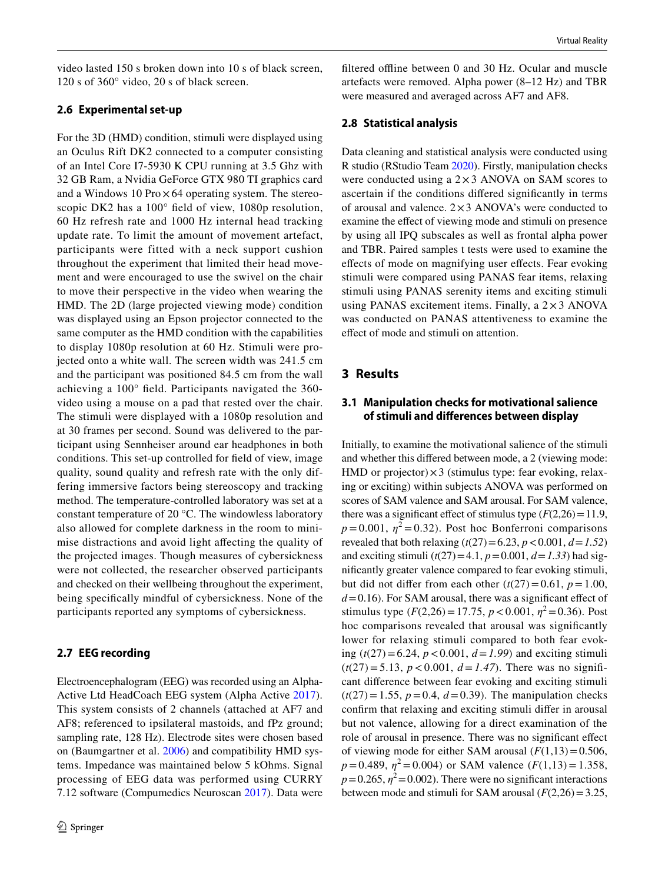video lasted 150 s broken down into 10 s of black screen, 120 s of 360° video, 20 s of black screen.

#### **2.6 Experimental set‑up**

For the 3D (HMD) condition, stimuli were displayed using an Oculus Rift DK2 connected to a computer consisting of an Intel Core I7-5930 K CPU running at 3.5 Ghz with 32 GB Ram, a Nvidia GeForce GTX 980 TI graphics card and a Windows 10 Pro $\times$  64 operating system. The stereoscopic DK2 has a 100° feld of view, 1080p resolution, 60 Hz refresh rate and 1000 Hz internal head tracking update rate. To limit the amount of movement artefact, participants were fitted with a neck support cushion throughout the experiment that limited their head movement and were encouraged to use the swivel on the chair to move their perspective in the video when wearing the HMD. The 2D (large projected viewing mode) condition was displayed using an Epson projector connected to the same computer as the HMD condition with the capabilities to display 1080p resolution at 60 Hz. Stimuli were projected onto a white wall. The screen width was 241.5 cm and the participant was positioned 84.5 cm from the wall achieving a 100° feld. Participants navigated the 360 video using a mouse on a pad that rested over the chair. The stimuli were displayed with a 1080p resolution and at 30 frames per second. Sound was delivered to the participant using Sennheiser around ear headphones in both conditions. This set-up controlled for feld of view, image quality, sound quality and refresh rate with the only differing immersive factors being stereoscopy and tracking method. The temperature-controlled laboratory was set at a constant temperature of 20 °C. The windowless laboratory also allowed for complete darkness in the room to minimise distractions and avoid light afecting the quality of the projected images. Though measures of cybersickness were not collected, the researcher observed participants and checked on their wellbeing throughout the experiment, being specifcally mindful of cybersickness. None of the participants reported any symptoms of cybersickness.

#### **2.7 EEG recording**

Electroencephalogram (EEG) was recorded using an Alpha-Active Ltd HeadCoach EEG system (Alpha Active [2017](#page-11-2)). This system consists of 2 channels (attached at AF7 and AF8; referenced to ipsilateral mastoids, and fPz ground; sampling rate, 128 Hz). Electrode sites were chosen based on (Baumgartner et al. [2006](#page-12-23)) and compatibility HMD systems. Impedance was maintained below 5 kOhms. Signal processing of EEG data was performed using CURRY 7.12 software (Compumedics Neuroscan [2017](#page-12-32)). Data were

filtered offline between 0 and 30 Hz. Ocular and muscle artefacts were removed. Alpha power (8–12 Hz) and TBR were measured and averaged across AF7 and AF8.

#### **2.8 Statistical analysis**

Data cleaning and statistical analysis were conducted using R studio (RStudio Team [2020](#page-13-19)). Firstly, manipulation checks were conducted using a  $2 \times 3$  ANOVA on SAM scores to ascertain if the conditions difered signifcantly in terms of arousal and valence.  $2 \times 3$  ANOVA's were conducted to examine the efect of viewing mode and stimuli on presence by using all IPQ subscales as well as frontal alpha power and TBR. Paired samples t tests were used to examine the efects of mode on magnifying user efects. Fear evoking stimuli were compared using PANAS fear items, relaxing stimuli using PANAS serenity items and exciting stimuli using PANAS excitement items. Finally, a  $2 \times 3$  ANOVA was conducted on PANAS attentiveness to examine the efect of mode and stimuli on attention.

## **3 Results**

## **3.1 Manipulation checks for motivational salience of stimuli and diferences between display**

Initially, to examine the motivational salience of the stimuli and whether this difered between mode, a 2 (viewing mode: HMD or projector) $\times$ 3 (stimulus type: fear evoking, relaxing or exciting) within subjects ANOVA was performed on scores of SAM valence and SAM arousal. For SAM valence, there was a significant effect of stimulus type  $(F(2,26)=11.9)$ ,  $p = 0.001$ ,  $\eta^2 = 0.32$ ). Post hoc Bonferroni comparisons revealed that both relaxing  $(t(27)=6.23, p < 0.001, d = 1.52)$ and exciting stimuli  $(t(27)=4.1, p=0.001, d=1.33)$  had signifcantly greater valence compared to fear evoking stimuli, but did not differ from each other  $(t(27)=0.61, p=1.00,$  $d = 0.16$ ). For SAM arousal, there was a significant effect of stimulus type  $(F(2,26) = 17.75, p < 0.001, \eta^2 = 0.36)$ . Post hoc comparisons revealed that arousal was signifcantly lower for relaxing stimuli compared to both fear evoking (*t*(27)=6.24, *p*<0.001, *d*=*1.99*) and exciting stimuli  $(t(27)=5.13, p < 0.001, d = 1.47)$ . There was no significant diference between fear evoking and exciting stimuli  $(t(27)=1.55, p=0.4, d=0.39)$ . The manipulation checks confrm that relaxing and exciting stimuli difer in arousal but not valence, allowing for a direct examination of the role of arousal in presence. There was no signifcant efect of viewing mode for either SAM arousal  $(F(1,13)=0.506,$  $p = 0.489$ ,  $\eta^2 = 0.004$ ) or SAM valence (*F*(1,13) = 1.358,  $p=0.265$ ,  $\eta^2=0.002$ ). There were no significant interactions between mode and stimuli for SAM arousal  $(F(2,26)=3.25,$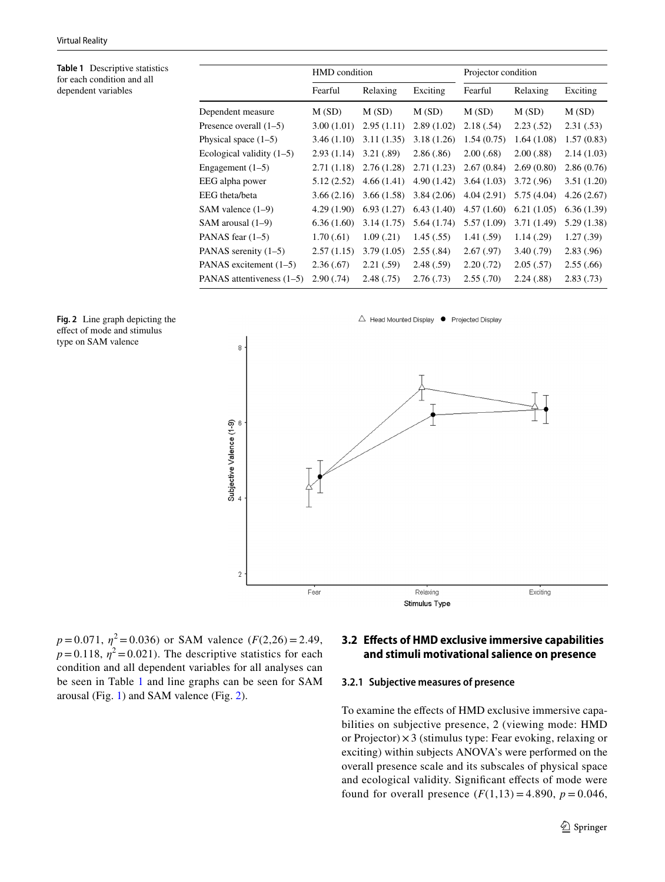<span id="page-6-0"></span>**Table 1** Descriptive statistics for each condition and all dependent variables

|                             | HMD condition |            |            | Projector condition |             |             |
|-----------------------------|---------------|------------|------------|---------------------|-------------|-------------|
|                             | Fearful       | Relaxing   | Exciting   | Fearful             | Relaxing    | Exciting    |
| Dependent measure           | M(SD)         | M(SD)      | M(SD)      | M(SD)               | M(SD)       | M(SD)       |
| Presence overall $(1-5)$    | 3.00(1.01)    | 2.95(1.11) | 2.89(1.02) | 2.18(.54)           | 2.23(.52)   | 2.31(.53)   |
| Physical space $(1-5)$      | 3.46(1.10)    | 3.11(1.35) | 3.18(1.26) | 1.54(0.75)          | 1.64(1.08)  | 1.57(0.83)  |
| Ecological validity $(1-5)$ | 2.93(1.14)    | 3.21(.89)  | 2.86(.86)  | 2.00(.68)           | 2.00(.88)   | 2.14(1.03)  |
| Engagement $(1-5)$          | 2.71(1.18)    | 2.76(1.28) | 2.71(1.23) | 2.67(0.84)          | 2.69(0.80)  | 2.86(0.76)  |
| EEG alpha power             | 5.12 (2.52)   | 4.66(1.41) | 4.90(1.42) | 3.64(1.03)          | 3.72(.96)   | 3.51(1.20)  |
| EEG theta/beta              | 3.66(2.16)    | 3.66(1.58) | 3.84(2.06) | 4.04(2.91)          | 5.75(4.04)  | 4.26(2.67)  |
| SAM valence (1–9)           | 4.29(1.90)    | 6.93(1.27) | 6.43(1.40) | 4.57(1.60)          | 6.21(1.05)  | 6.36(1.39)  |
| SAM arousal (1–9)           | 6.36(1.60)    | 3.14(1.75) | 5.64(1.74) | 5.57(1.09)          | 3.71 (1.49) | 5.29 (1.38) |
| PANAS fear (1–5)            | 1.70(0.61)    | 1.09(0.21) | 1.45(.55)  | 1.41(.59)           | 1.14(0.29)  | 1.27(.39)   |
| PANAS serenity (1–5)        | 2.57(1.15)    | 3.79(1.05) | 2.55(.84)  | 2.67(.97)           | 3.40(0.79)  | 2.83(0.96)  |
| PANAS excitement (1-5)      | 2.36(.67)     | 2.21(.59)  | 2.48(.59)  | 2.20(.72)           | 2.05(.57)   | 2.55(.66)   |
| PANAS attentiveness (1–5)   | 2.90(.74)     | 2.48(.75)  | 2.76(.73)  | 2.55(.70)           | 2.24(.88)   | 2.83(0.73)  |

<span id="page-6-1"></span>



 $p = 0.071$ ,  $\eta^2 = 0.036$ ) or SAM valence ( $F(2,26) = 2.49$ ,  $p=0.118$ ,  $\eta^2=0.021$ ). The descriptive statistics for each condition and all dependent variables for all analyses can be seen in Table [1](#page-6-0) and line graphs can be seen for SAM arousal (Fig. [1](#page-4-0)) and SAM valence (Fig. [2](#page-6-1)).

## **3.2 Efects of HMD exclusive immersive capabilities and stimuli motivational salience on presence**

#### **3.2.1 Subjective measures of presence**

To examine the effects of HMD exclusive immersive capabilities on subjective presence, 2 (viewing mode: HMD or Projector) ×3 (stimulus type: Fear evoking, relaxing or exciting) within subjects ANOVA's were performed on the overall presence scale and its subscales of physical space and ecological validity. Significant effects of mode were found for overall presence  $(F(1,13) = 4.890, p = 0.046,$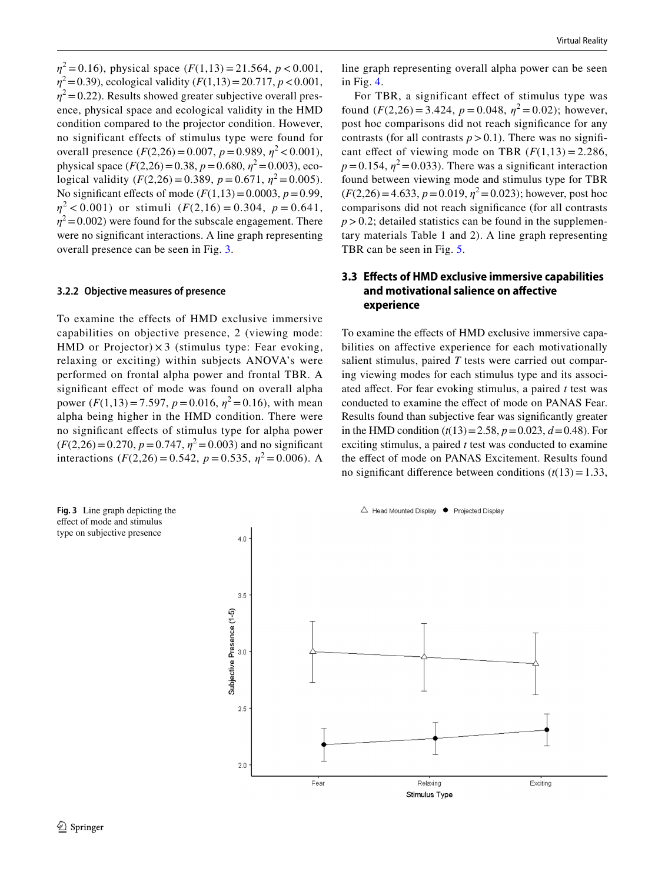*η*<sup>2</sup> = 0.16), physical space (*F*(1,13) = 21.564, *p* < 0.001, *η*<sup>2</sup> = 0.39), ecological validity (*F*(1,13) = 20.717, *p* < 0.001,  $\eta^2$  = 0.22). Results showed greater subjective overall presence, physical space and ecological validity in the HMD condition compared to the projector condition. However, no significant effects of stimulus type were found for overall presence  $(F(2,26) = 0.007, p = 0.989, \eta^2 < 0.001)$ , physical space  $(F(2,26)=0.38, p=0.680, \eta^2=0.003)$ , ecological validity  $(F(2,26) = 0.389, p = 0.671, \eta^2 = 0.005)$ . No significant effects of mode  $(F(1,13)=0.0003, p=0.99,$  $\eta^2$  < 0.001) or stimuli (*F*(2,16) = 0.304, *p* = 0.641,  $\eta^2$  = 0.002) were found for the subscale engagement. There were no signifcant interactions. A line graph representing overall presence can be seen in Fig. [3.](#page-7-0)

#### **3.2.2 Objective measures of presence**

To examine the effects of HMD exclusive immersive capabilities on objective presence, 2 (viewing mode: HMD or Projector)  $\times$  3 (stimulus type: Fear evoking, relaxing or exciting) within subjects ANOVA's were performed on frontal alpha power and frontal TBR. A signifcant efect of mode was found on overall alpha power  $(F(1,13)=7.597, p=0.016, \eta^2=0.16)$ , with mean alpha being higher in the HMD condition. There were no signifcant efects of stimulus type for alpha power  $(F(2,26)=0.270, p=0.747, \eta^2=0.003)$  and no significant interactions ( $F(2,26) = 0.542$ ,  $p = 0.535$ ,  $\eta^2 = 0.006$ ). A line graph representing overall alpha power can be seen in Fig. [4](#page-8-0).

For TBR, a significant effect of stimulus type was found  $(F(2,26) = 3.424, p = 0.048, \eta^2 = 0.02)$ ; however, post hoc comparisons did not reach signifcance for any contrasts (for all contrasts  $p > 0.1$ ). There was no significant effect of viewing mode on TBR  $(F(1,13) = 2.286,$  $p=0.154$ ,  $\eta^2=0.033$ ). There was a significant interaction found between viewing mode and stimulus type for TBR  $(F(2,26)=4.633, p=0.019, \eta^2=0.023)$ ; however, post hoc comparisons did not reach signifcance (for all contrasts  $p > 0.2$ ; detailed statistics can be found in the supplementary materials Table 1 and 2). A line graph representing TBR can be seen in Fig. [5](#page-8-1).

## **3.3 Efects of HMD exclusive immersive capabilities and motivational salience on afective experience**

To examine the effects of HMD exclusive immersive capabilities on affective experience for each motivationally salient stimulus, paired *T* tests were carried out comparing viewing modes for each stimulus type and its associated afect. For fear evoking stimulus, a paired *t* test was conducted to examine the effect of mode on PANAS Fear. Results found than subjective fear was signifcantly greater in the HMD condition  $(t(13)=2.58, p=0.023, d=0.48)$ . For exciting stimulus, a paired *t* test was conducted to examine the effect of mode on PANAS Excitement. Results found no significant difference between conditions  $(t(13)=1.33)$ ,

<span id="page-7-0"></span>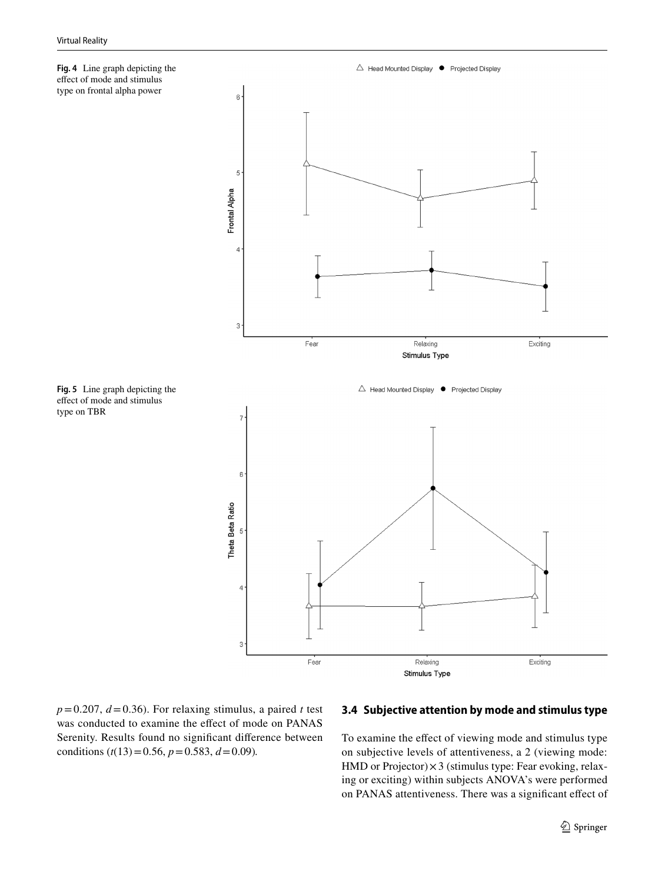<span id="page-8-0"></span>

<span id="page-8-1"></span>**Fig. 5** Line graph depicting the efect of mode and stimulus

type on TBR



 $p=0.207$ ,  $d=0.36$ ). For relaxing stimulus, a paired *t* test was conducted to examine the effect of mode on PANAS Serenity. Results found no signifcant diference between conditions ( $t(13)=0.56$ ,  $p=0.583$ ,  $d=0.09$ ).

## **3.4 Subjective attention by mode and stimulus type**

To examine the effect of viewing mode and stimulus type on subjective levels of attentiveness, a 2 (viewing mode: HMD or Projector) × 3 (stimulus type: Fear evoking, relaxing or exciting) within subjects ANOVA's were performed on PANAS attentiveness. There was a signifcant efect of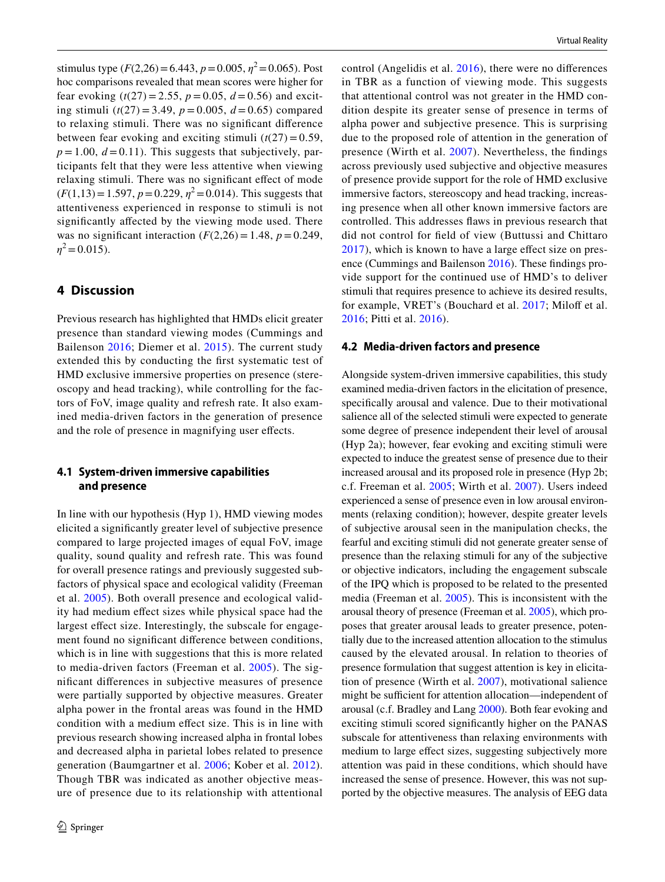stimulus type  $(F(2,26) = 6.443, p = 0.005, \eta^2 = 0.065)$ . Post hoc comparisons revealed that mean scores were higher for fear evoking  $(t(27) = 2.55, p = 0.05, d = 0.56)$  and exciting stimuli (*t*(27) = 3.49, *p* = 0.005, *d* = 0.65) compared to relaxing stimuli. There was no signifcant diference between fear evoking and exciting stimuli  $(t(27) = 0.59$ ,  $p = 1.00$ ,  $d = 0.11$ ). This suggests that subjectively, participants felt that they were less attentive when viewing relaxing stimuli. There was no signifcant efect of mode  $(F(1,13)=1.597, p=0.229, \eta^2=0.014)$ . This suggests that attentiveness experienced in response to stimuli is not signifcantly afected by the viewing mode used. There was no significant interaction  $(F(2,26) = 1.48, p = 0.249,$  $\eta^2$  = 0.015).

## **4 Discussion**

Previous research has highlighted that HMDs elicit greater presence than standard viewing modes (Cummings and Bailenson [2016;](#page-12-2) Diemer et al. [2015\)](#page-12-9). The current study extended this by conducting the frst systematic test of HMD exclusive immersive properties on presence (stereoscopy and head tracking), while controlling for the factors of FoV, image quality and refresh rate. It also examined media-driven factors in the generation of presence and the role of presence in magnifying user efects.

## **4.1 System‑driven immersive capabilities and presence**

In line with our hypothesis (Hyp 1), HMD viewing modes elicited a signifcantly greater level of subjective presence compared to large projected images of equal FoV, image quality, sound quality and refresh rate. This was found for overall presence ratings and previously suggested subfactors of physical space and ecological validity (Freeman et al. [2005\)](#page-12-3). Both overall presence and ecological validity had medium efect sizes while physical space had the largest effect size. Interestingly, the subscale for engagement found no signifcant diference between conditions, which is in line with suggestions that this is more related to media-driven factors (Freeman et al. [2005](#page-12-3)). The signifcant diferences in subjective measures of presence were partially supported by objective measures. Greater alpha power in the frontal areas was found in the HMD condition with a medium efect size. This is in line with previous research showing increased alpha in frontal lobes and decreased alpha in parietal lobes related to presence generation (Baumgartner et al. [2006;](#page-12-23) Kober et al. [2012](#page-12-26)). Though TBR was indicated as another objective measure of presence due to its relationship with attentional control (Angelidis et al. [2016\)](#page-11-1), there were no diferences in TBR as a function of viewing mode. This suggests that attentional control was not greater in the HMD condition despite its greater sense of presence in terms of alpha power and subjective presence. This is surprising due to the proposed role of attention in the generation of presence (Wirth et al. [2007\)](#page-13-2). Nevertheless, the fndings across previously used subjective and objective measures of presence provide support for the role of HMD exclusive immersive factors, stereoscopy and head tracking, increasing presence when all other known immersive factors are controlled. This addresses faws in previous research that did not control for feld of view (Buttussi and Chittaro [2017\)](#page-12-8), which is known to have a large efect size on presence (Cummings and Bailenson [2016\)](#page-12-2). These fndings provide support for the continued use of HMD's to deliver stimuli that requires presence to achieve its desired results, for example, VRET's (Bouchard et al. [2017;](#page-12-33) Miloff et al. [2016;](#page-13-20) Pitti et al. [2016](#page-13-21)).

#### **4.2 Media‑driven factors and presence**

Alongside system-driven immersive capabilities, this study examined media-driven factors in the elicitation of presence, specifcally arousal and valence. Due to their motivational salience all of the selected stimuli were expected to generate some degree of presence independent their level of arousal (Hyp 2a); however, fear evoking and exciting stimuli were expected to induce the greatest sense of presence due to their increased arousal and its proposed role in presence (Hyp 2b; c.f. Freeman et al. [2005;](#page-12-3) Wirth et al. [2007\)](#page-13-2). Users indeed experienced a sense of presence even in low arousal environments (relaxing condition); however, despite greater levels of subjective arousal seen in the manipulation checks, the fearful and exciting stimuli did not generate greater sense of presence than the relaxing stimuli for any of the subjective or objective indicators, including the engagement subscale of the IPQ which is proposed to be related to the presented media (Freeman et al. [2005](#page-12-3)). This is inconsistent with the arousal theory of presence (Freeman et al. [2005](#page-12-3)), which proposes that greater arousal leads to greater presence, potentially due to the increased attention allocation to the stimulus caused by the elevated arousal. In relation to theories of presence formulation that suggest attention is key in elicitation of presence (Wirth et al. [2007](#page-13-2)), motivational salience might be sufficient for attention allocation—independent of arousal (c.f. Bradley and Lang [2000\)](#page-12-4). Both fear evoking and exciting stimuli scored signifcantly higher on the PANAS subscale for attentiveness than relaxing environments with medium to large efect sizes, suggesting subjectively more attention was paid in these conditions, which should have increased the sense of presence. However, this was not supported by the objective measures. The analysis of EEG data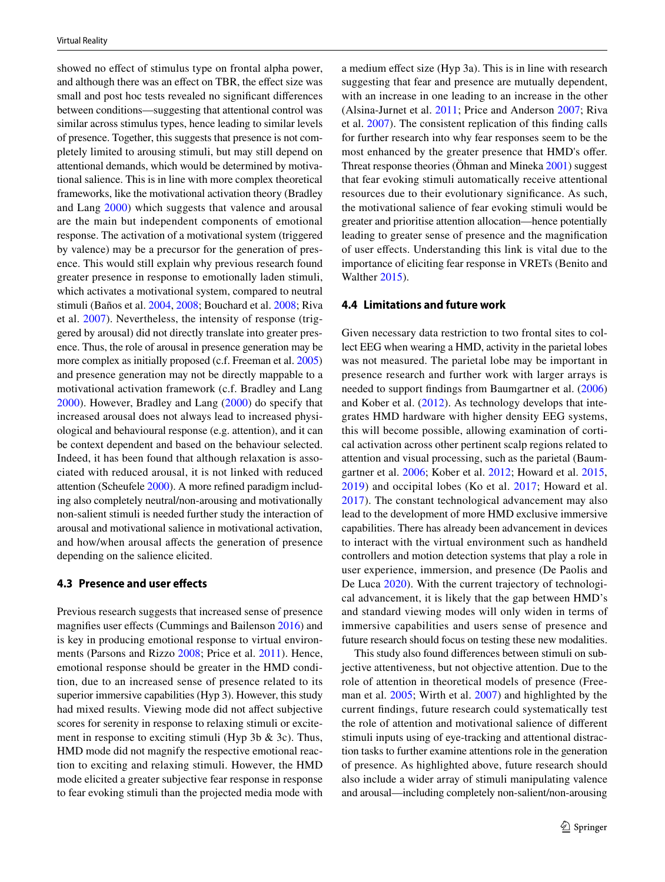showed no efect of stimulus type on frontal alpha power, and although there was an effect on TBR, the effect size was small and post hoc tests revealed no signifcant diferences between conditions—suggesting that attentional control was similar across stimulus types, hence leading to similar levels of presence. Together, this suggests that presence is not completely limited to arousing stimuli, but may still depend on attentional demands, which would be determined by motivational salience. This is in line with more complex theoretical frameworks, like the motivational activation theory (Bradley and Lang [2000](#page-12-4)) which suggests that valence and arousal are the main but independent components of emotional response. The activation of a motivational system (triggered by valence) may be a precursor for the generation of presence. This would still explain why previous research found greater presence in response to emotionally laden stimuli, which activates a motivational system, compared to neutral stimuli (Baños et al. [2004](#page-12-19), [2008;](#page-12-20) Bouchard et al. [2008](#page-12-18); Riva et al. [2007](#page-13-7)). Nevertheless, the intensity of response (triggered by arousal) did not directly translate into greater presence. Thus, the role of arousal in presence generation may be more complex as initially proposed (c.f. Freeman et al. [2005\)](#page-12-3) and presence generation may not be directly mappable to a motivational activation framework (c.f. Bradley and Lang [2000](#page-12-4)). However, Bradley and Lang ([2000](#page-12-4)) do specify that increased arousal does not always lead to increased physiological and behavioural response (e.g. attention), and it can be context dependent and based on the behaviour selected. Indeed, it has been found that although relaxation is associated with reduced arousal, it is not linked with reduced attention (Scheufele [2000\)](#page-13-22). A more refned paradigm including also completely neutral/non-arousing and motivationally non-salient stimuli is needed further study the interaction of arousal and motivational salience in motivational activation, and how/when arousal afects the generation of presence depending on the salience elicited.

#### **4.3 Presence and user efects**

Previous research suggests that increased sense of presence magnifes user efects (Cummings and Bailenson [2016](#page-12-2)) and is key in producing emotional response to virtual environments (Parsons and Rizzo [2008;](#page-13-3) Price et al. [2011](#page-13-4)). Hence, emotional response should be greater in the HMD condition, due to an increased sense of presence related to its superior immersive capabilities (Hyp 3). However, this study had mixed results. Viewing mode did not affect subjective scores for serenity in response to relaxing stimuli or excitement in response to exciting stimuli (Hyp 3b & 3c). Thus, HMD mode did not magnify the respective emotional reaction to exciting and relaxing stimuli. However, the HMD mode elicited a greater subjective fear response in response to fear evoking stimuli than the projected media mode with a medium efect size (Hyp 3a). This is in line with research suggesting that fear and presence are mutually dependent, with an increase in one leading to an increase in the other (Alsina-Jurnet et al. [2011](#page-11-0); Price and Anderson [2007;](#page-13-6) Riva et al. [2007](#page-13-7)). The consistent replication of this fnding calls for further research into why fear responses seem to be the most enhanced by the greater presence that HMD's offer. Threat response theories (Öhman and Mineka [2001\)](#page-13-23) suggest that fear evoking stimuli automatically receive attentional resources due to their evolutionary signifcance. As such, the motivational salience of fear evoking stimuli would be greater and prioritise attention allocation—hence potentially leading to greater sense of presence and the magnifcation of user efects. Understanding this link is vital due to the importance of eliciting fear response in VRETs (Benito and Walther [2015\)](#page-12-6).

#### **4.4 Limitations and future work**

Given necessary data restriction to two frontal sites to collect EEG when wearing a HMD, activity in the parietal lobes was not measured. The parietal lobe may be important in presence research and further work with larger arrays is needed to support fndings from Baumgartner et al. ([2006\)](#page-12-23) and Kober et al. ([2012](#page-12-26)). As technology develops that integrates HMD hardware with higher density EEG systems, this will become possible, allowing examination of cortical activation across other pertinent scalp regions related to attention and visual processing, such as the parietal (Baumgartner et al. [2006](#page-12-23); Kober et al. [2012;](#page-12-26) Howard et al. [2015,](#page-12-34) [2019\)](#page-12-35) and occipital lobes (Ko et al. [2017](#page-12-36); Howard et al. [2017\)](#page-12-37). The constant technological advancement may also lead to the development of more HMD exclusive immersive capabilities. There has already been advancement in devices to interact with the virtual environment such as handheld controllers and motion detection systems that play a role in user experience, immersion, and presence (De Paolis and De Luca [2020](#page-12-38)). With the current trajectory of technological advancement, it is likely that the gap between HMD's and standard viewing modes will only widen in terms of immersive capabilities and users sense of presence and future research should focus on testing these new modalities.

This study also found diferences between stimuli on subjective attentiveness, but not objective attention. Due to the role of attention in theoretical models of presence (Freeman et al. [2005;](#page-12-3) Wirth et al. [2007\)](#page-13-2) and highlighted by the current fndings, future research could systematically test the role of attention and motivational salience of diferent stimuli inputs using of eye-tracking and attentional distraction tasks to further examine attentions role in the generation of presence. As highlighted above, future research should also include a wider array of stimuli manipulating valence and arousal—including completely non-salient/non-arousing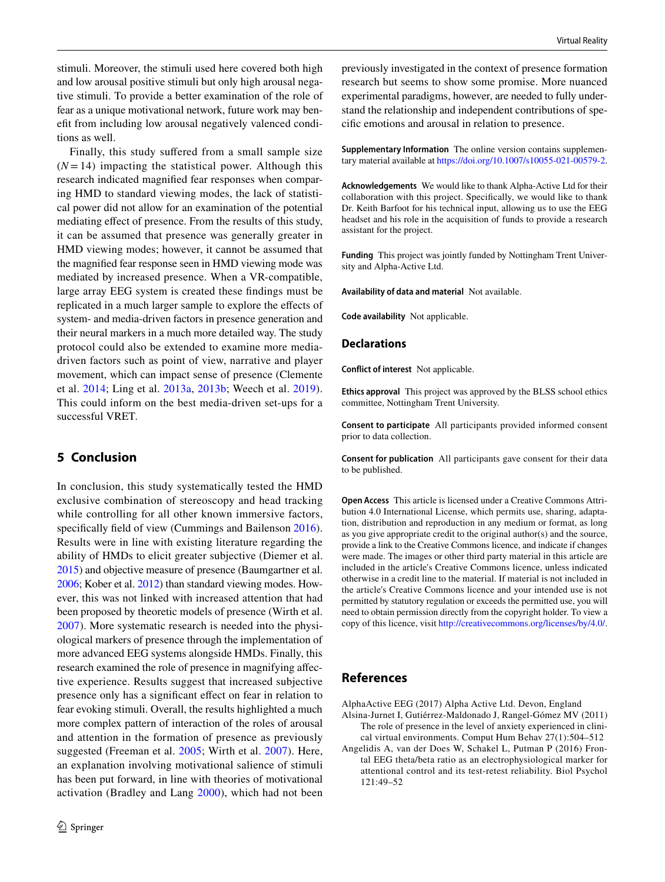stimuli. Moreover, the stimuli used here covered both high and low arousal positive stimuli but only high arousal negative stimuli. To provide a better examination of the role of fear as a unique motivational network, future work may beneft from including low arousal negatively valenced conditions as well.

Finally, this study sufered from a small sample size  $(N=14)$  impacting the statistical power. Although this research indicated magnifed fear responses when comparing HMD to standard viewing modes, the lack of statistical power did not allow for an examination of the potential mediating efect of presence. From the results of this study, it can be assumed that presence was generally greater in HMD viewing modes; however, it cannot be assumed that the magnifed fear response seen in HMD viewing mode was mediated by increased presence. When a VR-compatible, large array EEG system is created these fndings must be replicated in a much larger sample to explore the efects of system- and media-driven factors in presence generation and their neural markers in a much more detailed way. The study protocol could also be extended to examine more mediadriven factors such as point of view, narrative and player movement, which can impact sense of presence (Clemente et al. [2014;](#page-12-39) Ling et al. [2013a,](#page-12-10) [2013b;](#page-12-11) Weech et al. [2019](#page-13-18)). This could inform on the best media-driven set-ups for a successful VRET.

## **5 Conclusion**

In conclusion, this study systematically tested the HMD exclusive combination of stereoscopy and head tracking while controlling for all other known immersive factors, specifically field of view (Cummings and Bailenson [2016](#page-12-2)). Results were in line with existing literature regarding the ability of HMDs to elicit greater subjective (Diemer et al. [2015\)](#page-12-9) and objective measure of presence (Baumgartner et al. [2006;](#page-12-23) Kober et al. [2012\)](#page-12-26) than standard viewing modes. However, this was not linked with increased attention that had been proposed by theoretic models of presence (Wirth et al. [2007](#page-13-2)). More systematic research is needed into the physiological markers of presence through the implementation of more advanced EEG systems alongside HMDs. Finally, this research examined the role of presence in magnifying afective experience. Results suggest that increased subjective presence only has a signifcant efect on fear in relation to fear evoking stimuli. Overall, the results highlighted a much more complex pattern of interaction of the roles of arousal and attention in the formation of presence as previously suggested (Freeman et al. [2005;](#page-12-3) Wirth et al. [2007\)](#page-13-2). Here, an explanation involving motivational salience of stimuli has been put forward, in line with theories of motivational activation (Bradley and Lang [2000\)](#page-12-4), which had not been

previously investigated in the context of presence formation research but seems to show some promise. More nuanced experimental paradigms, however, are needed to fully understand the relationship and independent contributions of specifc emotions and arousal in relation to presence.

**Supplementary Information** The online version contains supplementary material available at<https://doi.org/10.1007/s10055-021-00579-2>.

**Acknowledgements** We would like to thank Alpha-Active Ltd for their collaboration with this project. Specifcally, we would like to thank Dr. Keith Barfoot for his technical input, allowing us to use the EEG headset and his role in the acquisition of funds to provide a research assistant for the project.

**Funding** This project was jointly funded by Nottingham Trent University and Alpha-Active Ltd.

**Availability of data and material** Not available.

**Code availability** Not applicable.

#### **Declarations**

**Conflict of interest** Not applicable.

**Ethics approval** This project was approved by the BLSS school ethics committee, Nottingham Trent University.

**Consent to participate** All participants provided informed consent prior to data collection.

**Consent for publication** All participants gave consent for their data to be published.

**Open Access** This article is licensed under a Creative Commons Attribution 4.0 International License, which permits use, sharing, adaptation, distribution and reproduction in any medium or format, as long as you give appropriate credit to the original author(s) and the source, provide a link to the Creative Commons licence, and indicate if changes were made. The images or other third party material in this article are included in the article's Creative Commons licence, unless indicated otherwise in a credit line to the material. If material is not included in the article's Creative Commons licence and your intended use is not permitted by statutory regulation or exceeds the permitted use, you will need to obtain permission directly from the copyright holder. To view a copy of this licence, visit<http://creativecommons.org/licenses/by/4.0/>.

#### **References**

<span id="page-11-2"></span>AlphaActive EEG (2017) Alpha Active Ltd. Devon, England

- <span id="page-11-0"></span>Alsina-Jurnet I, Gutiérrez-Maldonado J, Rangel-Gómez MV (2011) The role of presence in the level of anxiety experienced in clinical virtual environments. Comput Hum Behav 27(1):504–512
- <span id="page-11-1"></span>Angelidis A, van der Does W, Schakel L, Putman P (2016) Frontal EEG theta/beta ratio as an electrophysiological marker for attentional control and its test-retest reliability. Biol Psychol 121:49–52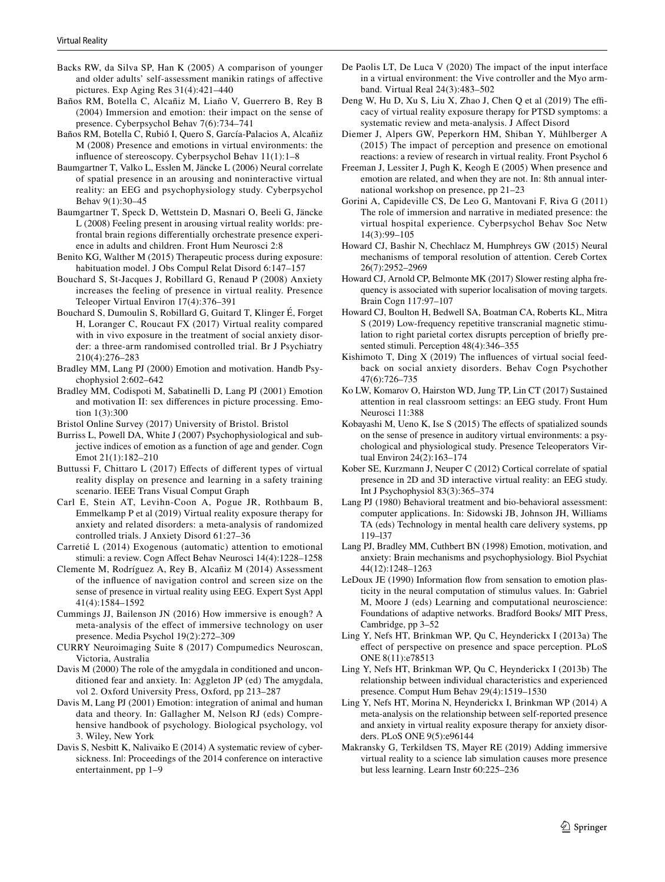- <span id="page-12-30"></span>Backs RW, da Silva SP, Han K (2005) A comparison of younger and older adults' self-assessment manikin ratings of afective pictures. Exp Aging Res 31(4):421–440
- <span id="page-12-19"></span>Baños RM, Botella C, Alcañiz M, Liaño V, Guerrero B, Rey B (2004) Immersion and emotion: their impact on the sense of presence. Cyberpsychol Behav 7(6):734–741
- <span id="page-12-20"></span>Baños RM, Botella C, Rubió I, Quero S, García-Palacios A, Alcañiz M (2008) Presence and emotions in virtual environments: the infuence of stereoscopy. Cyberpsychol Behav 11(1):1–8
- <span id="page-12-23"></span>Baumgartner T, Valko L, Esslen M, Jäncke L (2006) Neural correlate of spatial presence in an arousing and noninteractive virtual reality: an EEG and psychophysiology study. Cyberpsychol Behav 9(1):30–45
- <span id="page-12-27"></span>Baumgartner T, Speck D, Wettstein D, Masnari O, Beeli G, Jäncke L (2008) Feeling present in arousing virtual reality worlds: prefrontal brain regions diferentially orchestrate presence experience in adults and children. Front Hum Neurosci 2:8
- <span id="page-12-6"></span>Benito KG, Walther M (2015) Therapeutic process during exposure: habituation model. J Obs Compul Relat Disord 6:147–157
- <span id="page-12-18"></span>Bouchard S, St-Jacques J, Robillard G, Renaud P (2008) Anxiety increases the feeling of presence in virtual reality. Presence Teleoper Virtual Environ 17(4):376–391
- <span id="page-12-33"></span>Bouchard S, Dumoulin S, Robillard G, Guitard T, Klinger É, Forget H, Loranger C, Roucaut FX (2017) Virtual reality compared with in vivo exposure in the treatment of social anxiety disorder: a three-arm randomised controlled trial. Br J Psychiatry 210(4):276–283
- <span id="page-12-4"></span>Bradley MM, Lang PJ (2000) Emotion and motivation. Handb Psychophysiol 2:602–642
- <span id="page-12-14"></span>Bradley MM, Codispoti M, Sabatinelli D, Lang PJ (2001) Emotion and motivation II: sex diferences in picture processing. Emotion 1(3):300
- <span id="page-12-28"></span>Bristol Online Survey (2017) University of Bristol. Bristol
- <span id="page-12-24"></span>Burriss L, Powell DA, White J (2007) Psychophysiological and subjective indices of emotion as a function of age and gender. Cogn Emot 21(1):182–210
- <span id="page-12-8"></span>Buttussi F, Chittaro L (2017) Efects of diferent types of virtual reality display on presence and learning in a safety training scenario. IEEE Trans Visual Comput Graph
- <span id="page-12-1"></span>Carl E, Stein AT, Levihn-Coon A, Pogue JR, Rothbaum B, Emmelkamp P et al (2019) Virtual reality exposure therapy for anxiety and related disorders: a meta-analysis of randomized controlled trials. J Anxiety Disord 61:27–36
- <span id="page-12-13"></span>Carretié L (2014) Exogenous (automatic) attention to emotional stimuli: a review. Cogn Afect Behav Neurosci 14(4):1228–1258
- <span id="page-12-39"></span>Clemente M, Rodríguez A, Rey B, Alcañiz M (2014) Assessment of the infuence of navigation control and screen size on the sense of presence in virtual reality using EEG. Expert Syst Appl 41(4):1584–1592
- <span id="page-12-2"></span>Cummings JJ, Bailenson JN (2016) How immersive is enough? A meta-analysis of the efect of immersive technology on user presence. Media Psychol 19(2):272–309
- <span id="page-12-32"></span>CURRY Neuroimaging Suite 8 (2017) Compumedics Neuroscan, Victoria, Australia
- <span id="page-12-15"></span>Davis M (2000) The role of the amygdala in conditioned and unconditioned fear and anxiety. In: Aggleton JP (ed) The amygdala, vol 2. Oxford University Press, Oxford, pp 213–287
- <span id="page-12-16"></span>Davis M, Lang PJ (2001) Emotion: integration of animal and human data and theory. In: Gallagher M, Nelson RJ (eds) Comprehensive handbook of psychology. Biological psychology, vol 3. Wiley, New York
- <span id="page-12-31"></span>Davis S, Nesbitt K, Nalivaiko E (2014) A systematic review of cybersickness. Inl: Proceedings of the 2014 conference on interactive entertainment, pp 1–9
- <span id="page-12-38"></span>De Paolis LT, De Luca V (2020) The impact of the input interface in a virtual environment: the Vive controller and the Myo armband. Virtual Real 24(3):483–502
- <span id="page-12-0"></span>Deng W, Hu D, Xu S, Liu X, Zhao J, Chen Q et al (2019) The efficacy of virtual reality exposure therapy for PTSD symptoms: a systematic review and meta-analysis. J Afect Disord
- <span id="page-12-9"></span>Diemer J, Alpers GW, Peperkorn HM, Shiban Y, Mühlberger A (2015) The impact of perception and presence on emotional reactions: a review of research in virtual reality. Front Psychol 6
- <span id="page-12-3"></span>Freeman J, Lessiter J, Pugh K, Keogh E (2005) When presence and emotion are related, and when they are not. In: 8th annual international workshop on presence, pp 21–23
- <span id="page-12-12"></span>Gorini A, Capideville CS, De Leo G, Mantovani F, Riva G (2011) The role of immersion and narrative in mediated presence: the virtual hospital experience. Cyberpsychol Behav Soc Netw 14(3):99–105
- <span id="page-12-34"></span>Howard CJ, Bashir N, Chechlacz M, Humphreys GW (2015) Neural mechanisms of temporal resolution of attention. Cereb Cortex 26(7):2952–2969
- <span id="page-12-37"></span>Howard CJ, Arnold CP, Belmonte MK (2017) Slower resting alpha frequency is associated with superior localisation of moving targets. Brain Cogn 117:97–107
- <span id="page-12-35"></span>Howard CJ, Boulton H, Bedwell SA, Boatman CA, Roberts KL, Mitra S (2019) Low-frequency repetitive transcranial magnetic stimulation to right parietal cortex disrupts perception of briefy presented stimuli. Perception 48(4):346–355
- <span id="page-12-7"></span>Kishimoto T, Ding X (2019) The infuences of virtual social feedback on social anxiety disorders. Behav Cogn Psychother 47(6):726–735
- <span id="page-12-36"></span>Ko LW, Komarov O, Hairston WD, Jung TP, Lin CT (2017) Sustained attention in real classroom settings: an EEG study. Front Hum Neurosci 11:388
- <span id="page-12-22"></span>Kobayashi M, Ueno K, Ise S (2015) The effects of spatialized sounds on the sense of presence in auditory virtual environments: a psychological and physiological study. Presence Teleoperators Virtual Environ 24(2):163–174
- <span id="page-12-26"></span>Kober SE, Kurzmann J, Neuper C (2012) Cortical correlate of spatial presence in 2D and 3D interactive virtual reality: an EEG study. Int J Psychophysiol 83(3):365–374
- <span id="page-12-29"></span>Lang PJ (1980) Behavioral treatment and bio-behavioral assessment: computer applications. In: Sidowski JB, Johnson JH, Williams TA (eds) Technology in mental health care delivery systems, pp 119–l37
- <span id="page-12-25"></span>Lang PJ, Bradley MM, Cuthbert BN (1998) Emotion, motivation, and anxiety: Brain mechanisms and psychophysiology. Biol Psychiat 44(12):1248–1263
- <span id="page-12-17"></span>LeDoux JE (1990) Information flow from sensation to emotion plasticity in the neural computation of stimulus values. In: Gabriel M, Moore J (eds) Learning and computational neuroscience: Foundations of adaptive networks. Bradford Books/ MIT Press, Cambridge, pp 3–52
- <span id="page-12-10"></span>Ling Y, Nefs HT, Brinkman WP, Qu C, Heynderickx I (2013a) The efect of perspective on presence and space perception. PLoS ONE 8(11):e78513
- <span id="page-12-11"></span>Ling Y, Nefs HT, Brinkman WP, Qu C, Heynderickx I (2013b) The relationship between individual characteristics and experienced presence. Comput Hum Behav 29(4):1519–1530
- <span id="page-12-5"></span>Ling Y, Nefs HT, Morina N, Heynderickx I, Brinkman WP (2014) A meta-analysis on the relationship between self-reported presence and anxiety in virtual reality exposure therapy for anxiety disorders. PLoS ONE 9(5):e96144
- <span id="page-12-21"></span>Makransky G, Terkildsen TS, Mayer RE (2019) Adding immersive virtual reality to a science lab simulation causes more presence but less learning. Learn Instr 60:225–236